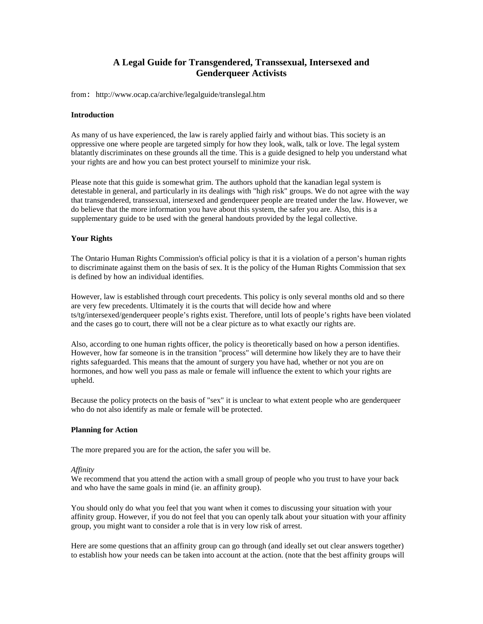# **A Legal Guide for Transgendered, Transsexual, Intersexed and Genderqueer Activists**

from: http://www.ocap.ca/archive/legalguide/translegal.htm

## **Introduction**

As many of us have experienced, the law is rarely applied fairly and without bias. This society is an oppressive one where people are targeted simply for how they look, walk, talk or love. The legal system blatantly discriminates on these grounds all the time. This is a guide designed to help you understand what your rights are and how you can best protect yourself to minimize your risk.

Please note that this guide is somewhat grim. The authors uphold that the kanadian legal system is detestable in general, and particularly in its dealings with "high risk" groups. We do not agree with the way that transgendered, transsexual, intersexed and genderqueer people are treated under the law. However, we do believe that the more information you have about this system, the safer you are. Also, this is a supplementary guide to be used with the general handouts provided by the legal collective.

## **Your Rights**

The Ontario Human Rights Commission's official policy is that it is a violation of a person's human rights to discriminate against them on the basis of sex. It is the policy of the Human Rights Commission that sex is defined by how an individual identifies.

However, law is established through court precedents. This policy is only several months old and so there are very few precedents. Ultimately it is the courts that will decide how and where ts/tg/intersexed/genderqueer people's rights exist. Therefore, until lots of people's rights have been violated and the cases go to court, there will not be a clear picture as to what exactly our rights are.

Also, according to one human rights officer, the policy is theoretically based on how a person identifies. However, how far someone is in the transition "process" will determine how likely they are to have their rights safeguarded. This means that the amount of surgery you have had, whether or not you are on hormones, and how well you pass as male or female will influence the extent to which your rights are upheld.

Because the policy protects on the basis of "sex" it is unclear to what extent people who are genderqueer who do not also identify as male or female will be protected.

#### **Planning for Action**

The more prepared you are for the action, the safer you will be.

#### *Affinity*

We recommend that you attend the action with a small group of people who you trust to have your back and who have the same goals in mind (ie. an affinity group).

You should only do what you feel that you want when it comes to discussing your situation with your affinity group. However, if you do not feel that you can openly talk about your situation with your affinity group, you might want to consider a role that is in very low risk of arrest.

Here are some questions that an affinity group can go through (and ideally set out clear answers together) to establish how your needs can be taken into account at the action. (note that the best affinity groups will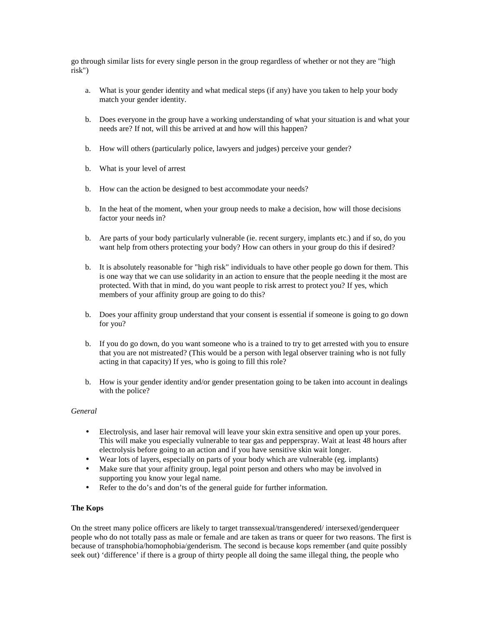go through similar lists for every single person in the group regardless of whether or not they are "high risk")

- a. What is your gender identity and what medical steps (if any) have you taken to help your body match your gender identity.
- b. Does everyone in the group have a working understanding of what your situation is and what your needs are? If not, will this be arrived at and how will this happen?
- b. How will others (particularly police, lawyers and judges) perceive your gender?
- b. What is your level of arrest
- b. How can the action be designed to best accommodate your needs?
- b. In the heat of the moment, when your group needs to make a decision, how will those decisions factor your needs in?
- b. Are parts of your body particularly vulnerable (ie. recent surgery, implants etc.) and if so, do you want help from others protecting your body? How can others in your group do this if desired?
- b. It is absolutely reasonable for "high risk" individuals to have other people go down for them. This is one way that we can use solidarity in an action to ensure that the people needing it the most are protected. With that in mind, do you want people to risk arrest to protect you? If yes, which members of your affinity group are going to do this?
- b. Does your affinity group understand that your consent is essential if someone is going to go down for you?
- b. If you do go down, do you want someone who is a trained to try to get arrested with you to ensure that you are not mistreated? (This would be a person with legal observer training who is not fully acting in that capacity) If yes, who is going to fill this role?
- b. How is your gender identity and/or gender presentation going to be taken into account in dealings with the police?

#### *General*

- Electrolysis, and laser hair removal will leave your skin extra sensitive and open up your pores. This will make you especially vulnerable to tear gas and pepperspray. Wait at least 48 hours after electrolysis before going to an action and if you have sensitive skin wait longer.
- Wear lots of layers, especially on parts of your body which are vulnerable (eg. implants)
- Make sure that your affinity group, legal point person and others who may be involved in supporting you know your legal name.
- Refer to the do's and don'ts of the general guide for further information.

## **The Kops**

On the street many police officers are likely to target transsexual/transgendered/ intersexed/genderqueer people who do not totally pass as male or female and are taken as trans or queer for two reasons. The first is because of transphobia/homophobia/genderism. The second is because kops remember (and quite possibly seek out) 'difference' if there is a group of thirty people all doing the same illegal thing, the people who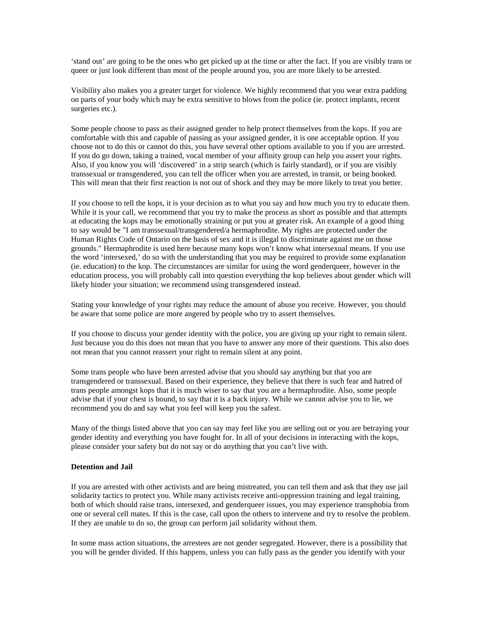'stand out' are going to be the ones who get picked up at the time or after the fact. If you are visibly trans or queer or just look different than most of the people around you, you are more likely to be arrested.

Visibility also makes you a greater target for violence. We highly recommend that you wear extra padding on parts of your body which may be extra sensitive to blows from the police (ie. protect implants, recent surgeries etc.).

Some people choose to pass as their assigned gender to help protect themselves from the kops. If you are comfortable with this and capable of passing as your assigned gender, it is one acceptable option. If you choose not to do this or cannot do this, you have several other options available to you if you are arrested. If you do go down, taking a trained, vocal member of your affinity group can help you assert your rights. Also, if you know you will 'discovered' in a strip search (which is fairly standard), or if you are visibly transsexual or transgendered, you can tell the officer when you are arrested, in transit, or being booked. This will mean that their first reaction is not out of shock and they may be more likely to treat you better.

If you choose to tell the kops, it is your decision as to what you say and how much you try to educate them. While it is your call, we recommend that you try to make the process as short as possible and that attempts at educating the kops may be emotionally straining or put you at greater risk. An example of a good thing to say would be "I am transsexual/transgendered/a hermaphrodite. My rights are protected under the Human Rights Code of Ontario on the basis of sex and it is illegal to discriminate against me on those grounds." Hermaphrodite is used here because many kops won't know what intersexual means. If you use the word 'intersexed,' do so with the understanding that you may be required to provide some explanation (ie. education) to the kop. The circumstances are similar for using the word genderqueer, however in the education process, you will probably call into question everything the kop believes about gender which will likely hinder your situation; we recommend using transgendered instead.

Stating your knowledge of your rights may reduce the amount of abuse you receive. However, you should be aware that some police are more angered by people who try to assert themselves.

If you choose to discuss your gender identity with the police, you are giving up your right to remain silent. Just because you do this does not mean that you have to answer any more of their questions. This also does not mean that you cannot reassert your right to remain silent at any point.

Some trans people who have been arrested advise that you should say anything but that you are transgendered or transsexual. Based on their experience, they believe that there is such fear and hatred of trans people amongst kops that it is much wiser to say that you are a hermaphrodite. Also, some people advise that if your chest is bound, to say that it is a back injury. While we cannot advise you to lie, we recommend you do and say what you feel will keep you the safest.

Many of the things listed above that you can say may feel like you are selling out or you are betraying your gender identity and everything you have fought for. In all of your decisions in interacting with the kops, please consider your safety but do not say or do anything that you can't live with.

# **Detention and Jail**

If you are arrested with other activists and are being mistreated, you can tell them and ask that they use jail solidarity tactics to protect you. While many activists receive anti-oppression training and legal training, both of which should raise trans, intersexed, and genderqueer issues, you may experience transphobia from one or several cell mates. If this is the case, call upon the others to intervene and try to resolve the problem. If they are unable to do so, the group can perform jail solidarity without them.

In some mass action situations, the arrestees are not gender segregated. However, there is a possibility that you will be gender divided. If this happens, unless you can fully pass as the gender you identify with your